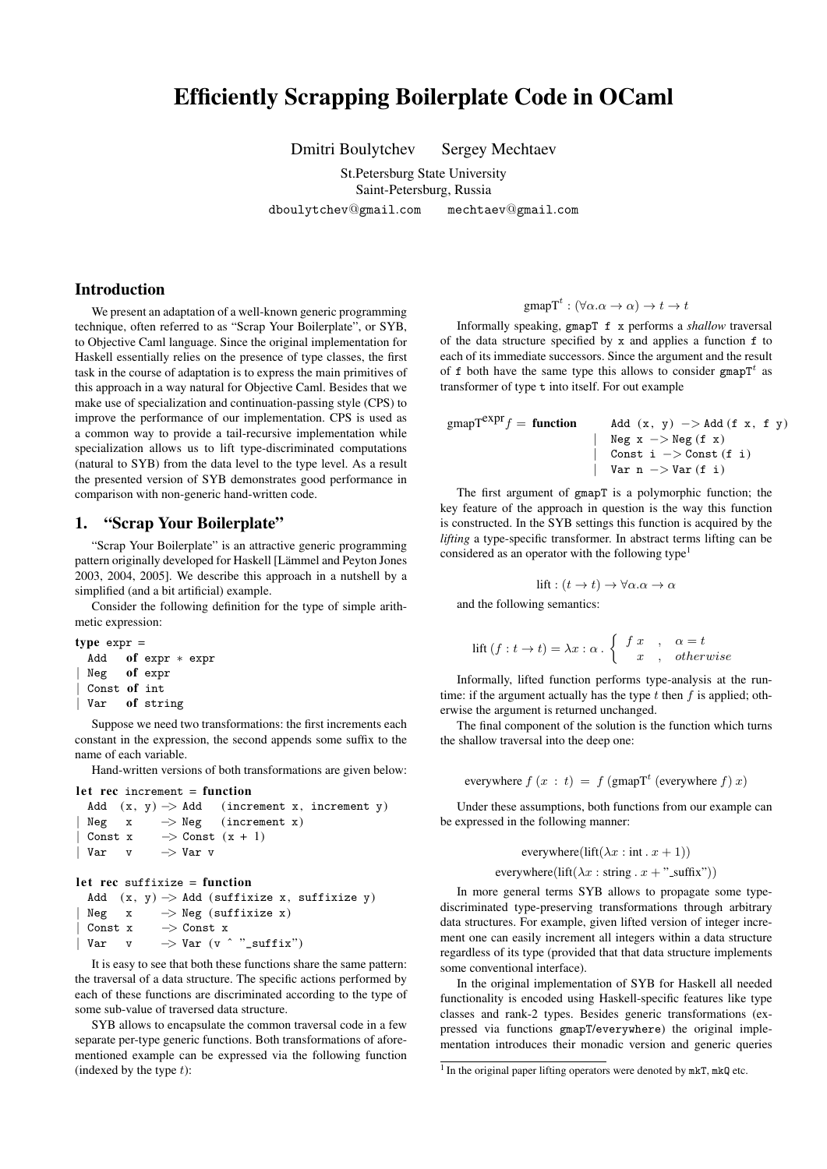# Efficiently Scrapping Boilerplate Code in OCaml

Dmitri Boulytchev Sergey Mechtaev

St.Petersburg State University Saint-Petersburg, Russia

dboulytchev@gmail*.*com mechtaev@gmail*.*com

# Introduction

We present an adaptation of a well-known generic programming technique, often referred to as "Scrap Your Boilerplate", or SYB, to Objective Caml language. Since the original implementation for Haskell essentially relies on the presence of type classes, the first task in the course of adaptation is to express the main primitives of this approach in a way natural for Objective Caml. Besides that we make use of specialization and continuation-passing style (CPS) to improve the performance of our implementation. CPS is used as a common way to provide a tail-recursive implementation while specialization allows us to lift type-discriminated computations (natural to SYB) from the data level to the type level. As a result the presented version of SYB demonstrates good performance in comparison with non-generic hand-written code.

# 1. "Scrap Your Boilerplate"

"Scrap Your Boilerplate" is an attractive generic programming pattern originally developed for Haskell [Lämmel and Peyton Jones 2003, 2004, 2005]. We describe this approach in a nutshell by a simplified (and a bit artificial) example.

Consider the following definition for the type of simple arithmetic expression:

```
type exp r =Add of expr ∗ expr
 | Neg of expr
 | Const of int
```

```
| Var of string
```
Suppose we need two transformations: the first increments each constant in the expression, the second appends some suffix to the name of each variable.

Hand-written versions of both transformations are given below:

```
let rec increment = function
 Add (x, y) −> Add (increment x, increment y)
 | Neg x −> Neg (increment x)
 | Const x −> Const (x + 1)
| Var v −> Var v
```
### $let$  rec suffixize = function

Add (x, y) *−>* Add (suffixize x, suffixize y) *|* Neg x *−>* Neg (suffixize x) *|* Const x *−>* Const x *|* Var v *−>* Var (v ˆ "\_suffix")

It is easy to see that both these functions share the same pattern: the traversal of a data structure. The specific actions performed by each of these functions are discriminated according to the type of some sub-value of traversed data structure.

SYB allows to encapsulate the common traversal code in a few separate per-type generic functions. Both transformations of aforementioned example can be expressed via the following function (indexed by the type *t*):

# gmap $T^t$ :  $(\forall \alpha \ldotp \alpha \rightarrow \alpha) \rightarrow t \rightarrow t$

Informally speaking, gmapT f x performs a *shallow* traversal of the data structure specified by x and applies a function f to each of its immediate successors. Since the argument and the result of f both have the same type this allows to consider gmapT*<sup>t</sup>* as transformer of type t into itself. For out example

gmapT<sup>expr</sup>f = **function** Add (x, y) -> Add (f x, f y)

The first argument of gmapT is a polymorphic function; the key feature of the approach in question is the way this function is constructed. In the SYB settings this function is acquired by the *lifting* a type-specific transformer. In abstract terms lifting can be considered as an operator with the following type<sup>1</sup>

*|* Neg x *−>* Neg (f x) *|* Const i *−>* Const (f i) *|* Var n *−>* Var (f i)

$$
\text{lift}: (t \to t) \to \forall \alpha. \alpha \to \alpha
$$

and the following semantics:

$$
\text{lift}(f: t \to t) = \lambda x: \alpha \cdot \begin{cases} f x & , \alpha = t \\ x & , \text{ otherwise} \end{cases}
$$

Informally, lifted function performs type-analysis at the runtime: if the argument actually has the type *t* then *f* is applied; otherwise the argument is returned unchanged.

The final component of the solution is the function which turns the shallow traversal into the deep one:

everywhere  $f(x : t) = f(\text{gmapT}^t(\text{everywhere } f)x)$ 

Under these assumptions, both functions from our example can be expressed in the following manner:

everywhere(
$$
\text{lift}(\lambda x : \text{int} \cdot x + 1)
$$
)

```
everywhere(lift(\lambda x : string x +"_suffix"))
```
In more general terms SYB allows to propagate some typediscriminated type-preserving transformations through arbitrary data structures. For example, given lifted version of integer increment one can easily increment all integers within a data structure regardless of its type (provided that that data structure implements some conventional interface).

In the original implementation of SYB for Haskell all needed functionality is encoded using Haskell-specific features like type classes and rank-2 types. Besides generic transformations (expressed via functions gmapT/everywhere) the original implementation introduces their monadic version and generic queries

<sup>&</sup>lt;sup>1</sup> In the original paper lifting operators were denoted by mkT, mkQ etc.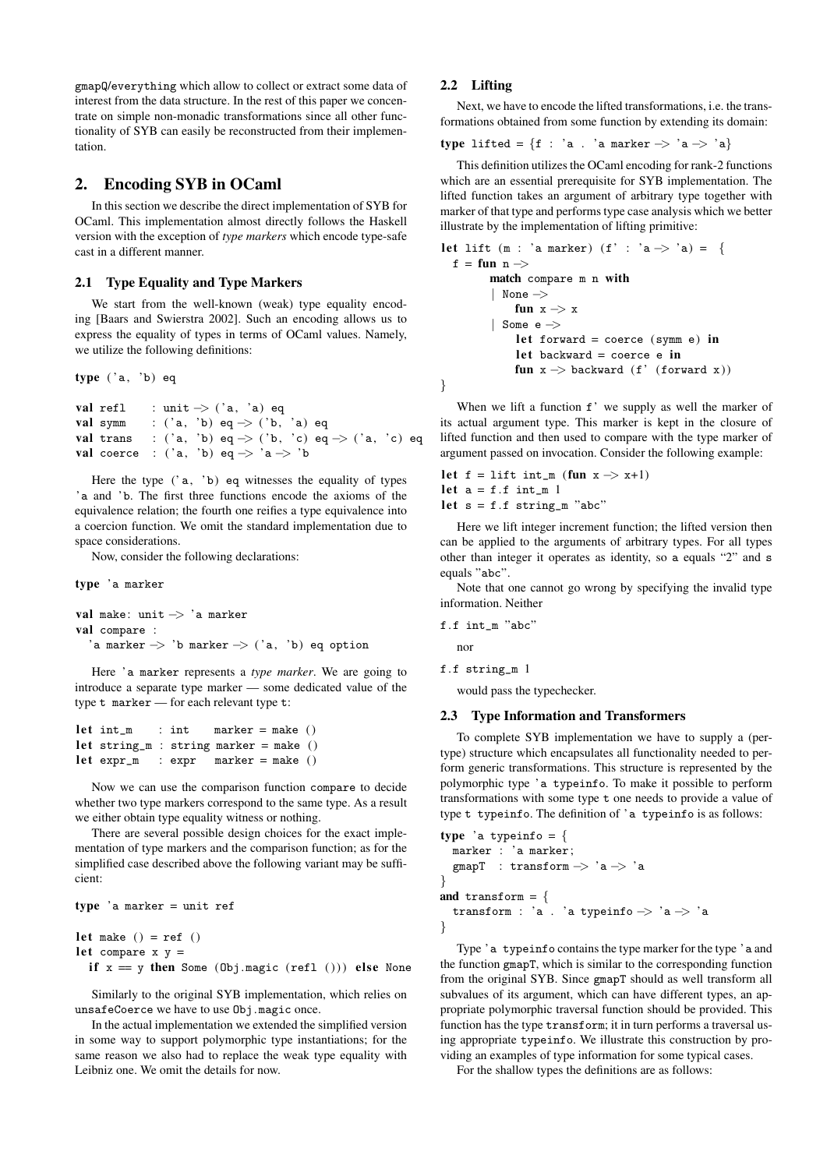gmapQ/everything which allow to collect or extract some data of interest from the data structure. In the rest of this paper we concentrate on simple non-monadic transformations since all other functionality of SYB can easily be reconstructed from their implementation.

## 2. Encoding SYB in OCaml

In this section we describe the direct implementation of SYB for OCaml. This implementation almost directly follows the Haskell version with the exception of *type markers* which encode type-safe cast in a different manner.

### 2.1 Type Equality and Type Markers

We start from the well-known (weak) type equality encoding [Baars and Swierstra 2002]. Such an encoding allows us to express the equality of types in terms of OCaml values. Namely, we utilize the following definitions:

type ( 'a, 'b) eq

```
val refl : unit −> ( 'a, 'a) eq
val symm : ( 'a, 'b) eq −> ( 'b, 'a) eq
val trans : ( 'a, 'b) eq −> ( 'b, 'c) eq −> ( 'a, 'c) eq
val coerce : ( 'a, 'b) eq −> 'a −> 'b
```
Here the type  $('a, 'b)$  eq witnesses the equality of types 'a and 'b. The first three functions encode the axioms of the equivalence relation; the fourth one reifies a type equivalence into a coercion function. We omit the standard implementation due to space considerations.

Now, consider the following declarations:

type 'a marker

```
val make: unit −> 'a marker
val compare :
  'a marker −> 'b marker −> ( 'a, 'b) eq option
```
Here 'a marker represents a *type marker*. We are going to introduce a separate type marker — some dedicated value of the type t marker — for each relevant type t:

```
let int_m : int marker = make ()
let string_m : string marker = make ()
let \text{ expr\_m} : \text{expr} \text{ marker} = \text{make} ()
```
Now we can use the comparison function compare to decide whether two type markers correspond to the same type. As a result we either obtain type equality witness or nothing.

There are several possible design choices for the exact implementation of type markers and the comparison function; as for the simplified case described above the following variant may be sufficient:

```
type 'a marker = unit ref
let make () = ref()let compare x y =
```

```
if x = y then Some (Obj.magic (refl ())) else None
```
Similarly to the original SYB implementation, which relies on unsafeCoerce we have to use Obj.magic once.

In the actual implementation we extended the simplified version in some way to support polymorphic type instantiations; for the same reason we also had to replace the weak type equality with Leibniz one. We omit the details for now.

### 2.2 Lifting

Next, we have to encode the lifted transformations, i.e. the transformations obtained from some function by extending its domain:

$$
type\ \texttt{lifted} = \{f\ :\ \texttt{'a}\ .\ \texttt{'a marker} \Rightarrow \texttt{'a} \Rightarrow \texttt{'a}\}
$$

This definition utilizes the OCaml encoding for rank-2 functions which are an essential prerequisite for SYB implementation. The lifted function takes an argument of arbitrary type together with marker of that type and performs type case analysis which we better illustrate by the implementation of lifting primitive:

```
let lift (m : 'a marker) (f' : 'a −> 'a) = {
 f = fun n −>
       match compare m n with
       | None −>
           fun x −> x
        | Some e −>
            let forward = coerce (symm e) in
            let backward = coerce e in
            fun x −> backward (f' (forward x) )
}
```
When we lift a function  $f'$  we supply as well the marker of its actual argument type. This marker is kept in the closure of lifted function and then used to compare with the type marker of argument passed on invocation. Consider the following example:

```
let f = \text{lift int_m (fun } x \rightarrow x+1)let a = f.f int_m 1
let s = f.f string_m "abc"
```
Here we lift integer increment function; the lifted version then can be applied to the arguments of arbitrary types. For all types other than integer it operates as identity, so a equals "2" and s equals "abc".

Note that one cannot go wrong by specifying the invalid type information. Neither

$$
\mathtt{f.f~int\_m} \text{ "abc"}
$$

nor

f.f string\_m 1

would pass the typechecker.

#### 2.3 Type Information and Transformers

To complete SYB implementation we have to supply a (pertype) structure which encapsulates all functionality needed to perform generic transformations. This structure is represented by the polymorphic type 'a typeinfo. To make it possible to perform transformations with some type t one needs to provide a value of type t typeinfo. The definition of 'a typeinfo is as follows:

```
type 'a typeinfo = {
 marker : 'a marker;
  gmapT : transform −> 'a −> 'a
}
and transform = {
  transform : 'a . 'a typeinfo −> 'a −> 'a
}
```
Type 'a typeinfo contains the type marker for the type 'a and the function gmapT, which is similar to the corresponding function from the original SYB. Since gmapT should as well transform all subvalues of its argument, which can have different types, an appropriate polymorphic traversal function should be provided. This function has the type transform; it in turn performs a traversal using appropriate typeinfo. We illustrate this construction by providing an examples of type information for some typical cases.

For the shallow types the definitions are as follows: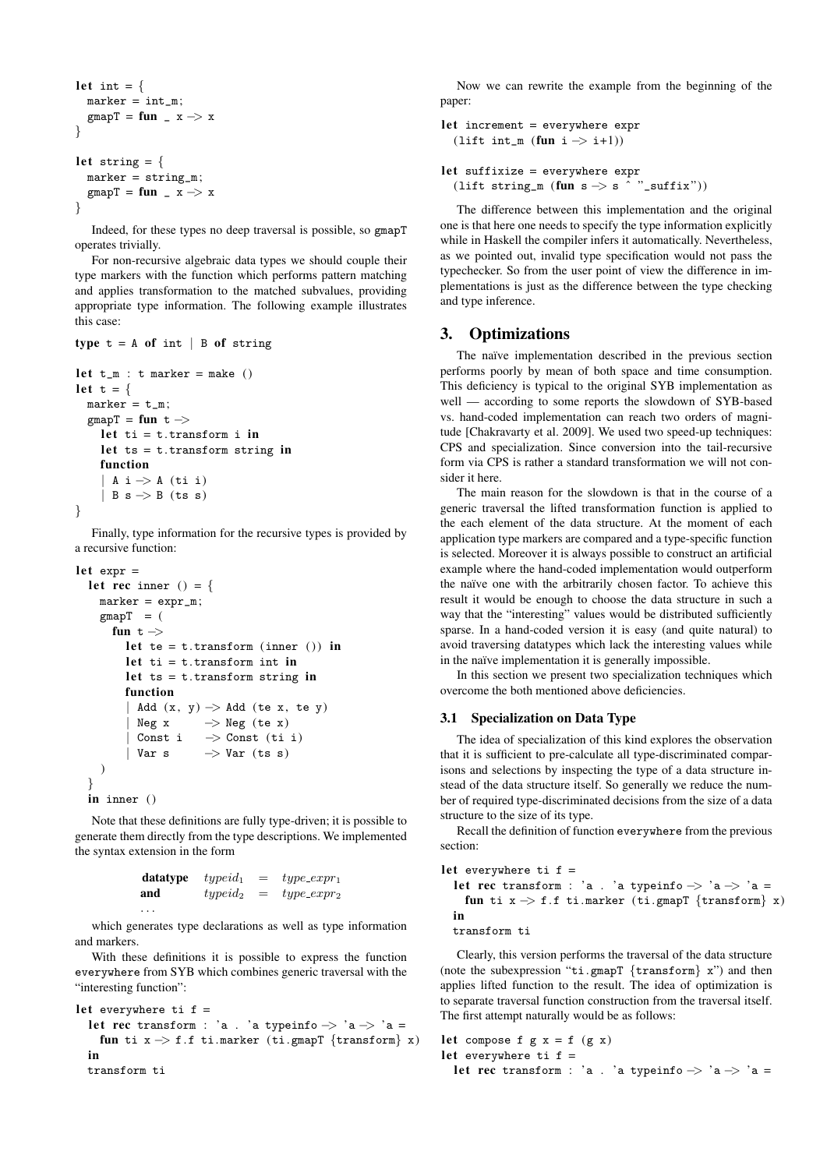```
let int = {
 marker = int_m;gmapT = fun _ x −> x
}
let string = {
 marker = string_m;gmapT = fun _ x −> x
}
```
Indeed, for these types no deep traversal is possible, so gmapT operates trivially.

For non-recursive algebraic data types we should couple their type markers with the function which performs pattern matching and applies transformation to the matched subvalues, providing appropriate type information. The following example illustrates this case:

```
type t = A of int |B of string
let t_m : t marker = make ()
let t = \{marker = t_m;
 gmapT = fun t −>
   let ti = t.transform in
   let ts = t.transform string in
   function
    | A i −> A (ti i)
   | B s −> B (ts s)
}
```
Finally, type information for the recursive types is provided by a recursive function:

```
let expr =
 let rec inner () = \{marker = expr_m;\text{gmapT} = (fun t −>
       let te = t.transform (inner ()) in
       let ti = t.transform int in
       let ts = t.transform string in
       function
        | Add (x, y) −> Add (te x, te y)
       | Neg x −> Neg (te x)
        | Const i −> Const (ti i)
        | Var s −> Var (ts s)
   )
  }
 in inner ()
```
Note that these definitions are fully type-driven; it is possible to generate them directly from the type descriptions. We implemented the syntax extension in the form

| datatype | $typeid_1$ | $=$ | $type\_expr_1$ |
|----------|------------|-----|----------------|
| and      | $typeid_2$ | $=$ | $type\_expr_2$ |
| .        |            |     |                |

which generates type declarations as well as type information and markers.

With these definitions it is possible to express the function everywhere from SYB which combines generic traversal with the "interesting function":

```
let everywhere ti f =let rec transform : 'a . 'a typeinfo \rightarrow 'a \rightarrow 'a =
    fun ti x −> f.f ti.marker (ti.gmapT {transform} x)
  in
  transform ti
```
Now we can rewrite the example from the beginning of the paper:

```
let increment = everywhere expr(lift int_m (fun i −> i+1))
let suffixize = everywhere expr
```
(lift string\_m (fun s  $\rightarrow$  s ^ "\_suffix"))

The difference between this implementation and the original one is that here one needs to specify the type information explicitly while in Haskell the compiler infers it automatically. Nevertheless, as we pointed out, invalid type specification would not pass the typechecker. So from the user point of view the difference in implementations is just as the difference between the type checking and type inference.

# 3. Optimizations

The naïve implementation described in the previous section performs poorly by mean of both space and time consumption. This deficiency is typical to the original SYB implementation as well — according to some reports the slowdown of SYB-based vs. hand-coded implementation can reach two orders of magnitude [Chakravarty et al. 2009]. We used two speed-up techniques: CPS and specialization. Since conversion into the tail-recursive form via CPS is rather a standard transformation we will not consider it here.

The main reason for the slowdown is that in the course of a generic traversal the lifted transformation function is applied to the each element of the data structure. At the moment of each application type markers are compared and a type-specific function is selected. Moreover it is always possible to construct an artificial example where the hand-coded implementation would outperform the naïve one with the arbitrarily chosen factor. To achieve this result it would be enough to choose the data structure in such a way that the "interesting" values would be distributed sufficiently sparse. In a hand-coded version it is easy (and quite natural) to avoid traversing datatypes which lack the interesting values while in the naïve implementation it is generally impossible.

In this section we present two specialization techniques which overcome the both mentioned above deficiencies.

### 3.1 Specialization on Data Type

The idea of specialization of this kind explores the observation that it is sufficient to pre-calculate all type-discriminated comparisons and selections by inspecting the type of a data structure instead of the data structure itself. So generally we reduce the number of required type-discriminated decisions from the size of a data structure to the size of its type.

Recall the definition of function everywhere from the previous section:

```
let everywhere ti f =let rec transform : 'a . 'a typeinfo \rightarrow 'a \rightarrow 'a =
    fun ti x −> f.f ti.marker (ti.gmapT {transform} x)
  in
```
transform ti

Clearly, this version performs the traversal of the data structure (note the subexpression "ti.gmapT *{*transform*}* x") and then applies lifted function to the result. The idea of optimization is to separate traversal function construction from the traversal itself. The first attempt naturally would be as follows:

```
let compose f g x = f (g x)let everywhere ti f =le t rec transform : 'a . 'a typeinfo −> 'a −> 'a =
```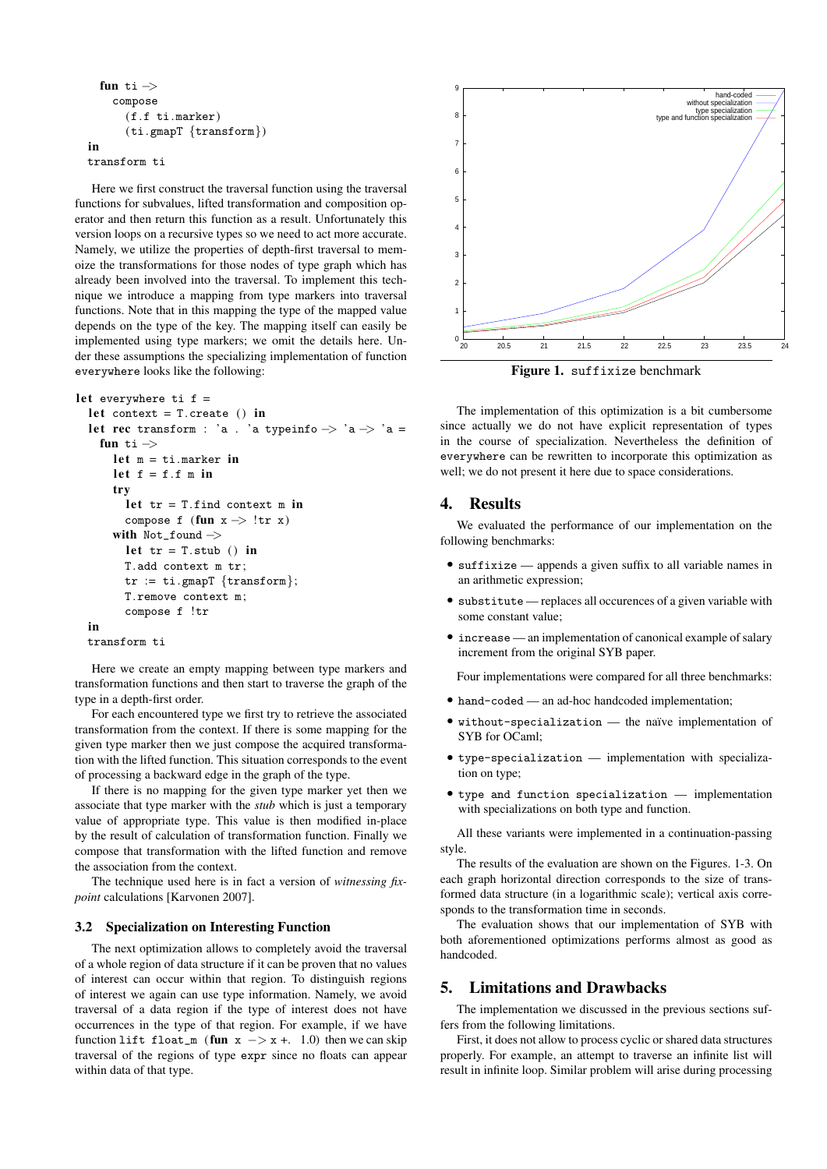```
fun ti −>
    compose
      (f.f ti.marker)
      (ti.gmapT {transform})
in
```

```
transform ti
```
Here we first construct the traversal function using the traversal functions for subvalues, lifted transformation and composition operator and then return this function as a result. Unfortunately this version loops on a recursive types so we need to act more accurate. Namely, we utilize the properties of depth-first traversal to memoize the transformations for those nodes of type graph which has already been involved into the traversal. To implement this technique we introduce a mapping from type markers into traversal functions. Note that in this mapping the type of the mapped value depends on the type of the key. The mapping itself can easily be implemented using type markers; we omit the details here. Under these assumptions the specializing implementation of function everywhere looks like the following:

```
let everywhere ti f =
```

```
let context = T. create () in
let rec transform : 'a . 'a typeinfo \Rightarrow 'a \Rightarrow 'a =
  fun ti −>
    let m = ti.maxker in
    let f = f.f m in
    try
      let tr = T.find context m in
      compose f (fun x −> !tr x)
    with Not_found −>
      let tr = T.stub () in
      T.add context m tr;
      tr := ti.gmapT {transform};
      T.remove context m;
      compose f !tr
in
transform ti
```
Here we create an empty mapping between type markers and transformation functions and then start to traverse the graph of the type in a depth-first order.

For each encountered type we first try to retrieve the associated transformation from the context. If there is some mapping for the given type marker then we just compose the acquired transformation with the lifted function. This situation corresponds to the event of processing a backward edge in the graph of the type.

If there is no mapping for the given type marker yet then we associate that type marker with the *stub* which is just a temporary value of appropriate type. This value is then modified in-place by the result of calculation of transformation function. Finally we compose that transformation with the lifted function and remove the association from the context.

The technique used here is in fact a version of *witnessing fixpoint* calculations [Karvonen 2007].

# 3.2 Specialization on Interesting Function

The next optimization allows to completely avoid the traversal of a whole region of data structure if it can be proven that no values of interest can occur within that region. To distinguish regions of interest we again can use type information. Namely, we avoid traversal of a data region if the type of interest does not have occurrences in the type of that region. For example, if we have function lift float\_m (fun  $x$   $\rightarrow$   $x +$ . 1.0) then we can skip traversal of the regions of type expr since no floats can appear within data of that type.



Figure 1. suffixize benchmark

The implementation of this optimization is a bit cumbersome since actually we do not have explicit representation of types in the course of specialization. Nevertheless the definition of everywhere can be rewritten to incorporate this optimization as well; we do not present it here due to space considerations.

# 4. Results

We evaluated the performance of our implementation on the following benchmarks:

- *•* suffixize appends a given suffix to all variable names in an arithmetic expression;
- *•* substitute replaces all occurences of a given variable with some constant value;
- *•* increase an implementation of canonical example of salary increment from the original SYB paper.

Four implementations were compared for all three benchmarks:

- *•* hand-coded an ad-hoc handcoded implementation;
- without-specialization the naïve implementation of SYB for OCaml;
- *•* type-specialization implementation with specialization on type;
- *•* type and function specialization implementation with specializations on both type and function.

All these variants were implemented in a continuation-passing style.

The results of the evaluation are shown on the Figures. 1-3. On each graph horizontal direction corresponds to the size of transformed data structure (in a logarithmic scale); vertical axis corresponds to the transformation time in seconds.

The evaluation shows that our implementation of SYB with both aforementioned optimizations performs almost as good as handcoded.

# 5. Limitations and Drawbacks

The implementation we discussed in the previous sections suffers from the following limitations.

First, it does not allow to process cyclic or shared data structures properly. For example, an attempt to traverse an infinite list will result in infinite loop. Similar problem will arise during processing